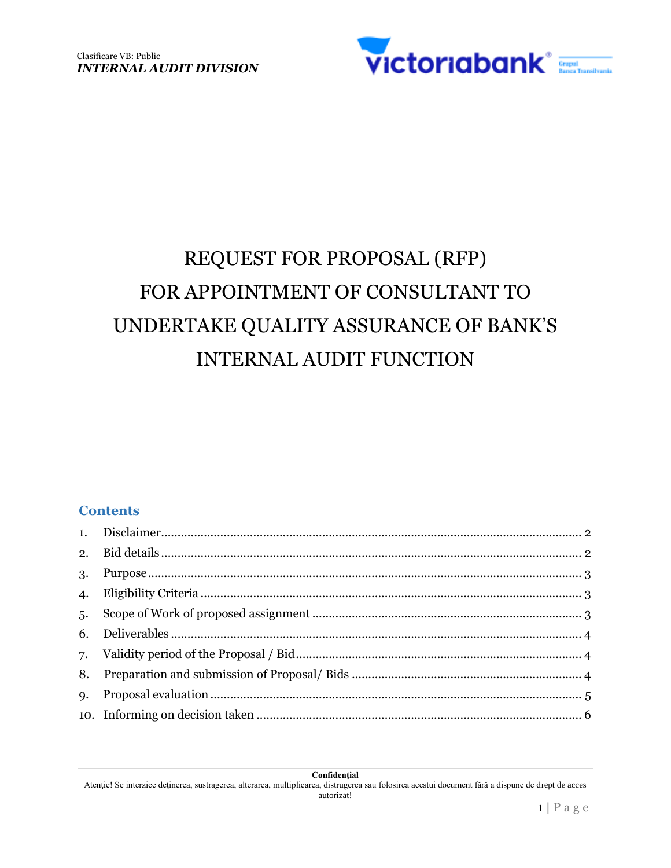

# REQUEST FOR PROPOSAL (RFP) FOR APPOINTMENT OF CONSULTANT TO UNDERTAKE QUALITY ASSURANCE OF BANK'S INTERNAL AUDIT FUNCTION

#### **Contents**

| 3.               |  |
|------------------|--|
| $\overline{4}$ . |  |
| 5.               |  |
|                  |  |
|                  |  |
| 8.               |  |
| <b>9.</b>        |  |
|                  |  |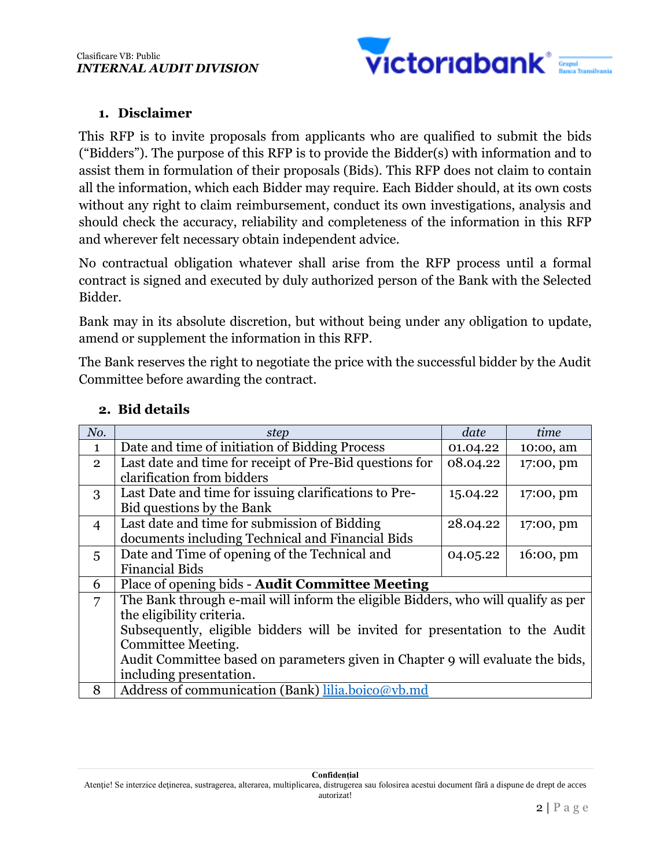

# **1. Disclaimer**

This RFP is to invite proposals from applicants who are qualified to submit the bids ("Bidders"). The purpose of this RFP is to provide the Bidder(s) with information and to assist them in formulation of their proposals (Bids). This RFP does not claim to contain all the information, which each Bidder may require. Each Bidder should, at its own costs without any right to claim reimbursement, conduct its own investigations, analysis and should check the accuracy, reliability and completeness of the information in this RFP and wherever felt necessary obtain independent advice.

No contractual obligation whatever shall arise from the RFP process until a formal contract is signed and executed by duly authorized person of the Bank with the Selected Bidder.

Bank may in its absolute discretion, but without being under any obligation to update, amend or supplement the information in this RFP.

The Bank reserves the right to negotiate the price with the successful bidder by the Audit Committee before awarding the contract.

| No.            | step                                                                              | date     | time                  |  |
|----------------|-----------------------------------------------------------------------------------|----------|-----------------------|--|
| 1              | Date and time of initiation of Bidding Process                                    | 01.04.22 | 10:00, am             |  |
| $\overline{2}$ | Last date and time for receipt of Pre-Bid questions for                           | 08.04.22 | 17:00, pm             |  |
|                | clarification from bidders                                                        |          |                       |  |
| 3              | Last Date and time for issuing clarifications to Pre-                             | 15.04.22 | 17:00, pm             |  |
|                | Bid questions by the Bank                                                         |          |                       |  |
| $\overline{4}$ | Last date and time for submission of Bidding                                      | 28.04.22 | 17:00, pm             |  |
|                | documents including Technical and Financial Bids                                  |          |                       |  |
| $\overline{5}$ | Date and Time of opening of the Technical and                                     | 04.05.22 | $16:00, \, \text{pm}$ |  |
|                | <b>Financial Bids</b>                                                             |          |                       |  |
| 6              | Place of opening bids - Audit Committee Meeting                                   |          |                       |  |
| 7              | The Bank through e-mail will inform the eligible Bidders, who will qualify as per |          |                       |  |
|                | the eligibility criteria.                                                         |          |                       |  |
|                | Subsequently, eligible bidders will be invited for presentation to the Audit      |          |                       |  |
|                | Committee Meeting.                                                                |          |                       |  |
|                | Audit Committee based on parameters given in Chapter 9 will evaluate the bids,    |          |                       |  |
|                | including presentation.                                                           |          |                       |  |
| 8              | Address of communication (Bank) lilia.boico@vb.md                                 |          |                       |  |

# **2. Bid details**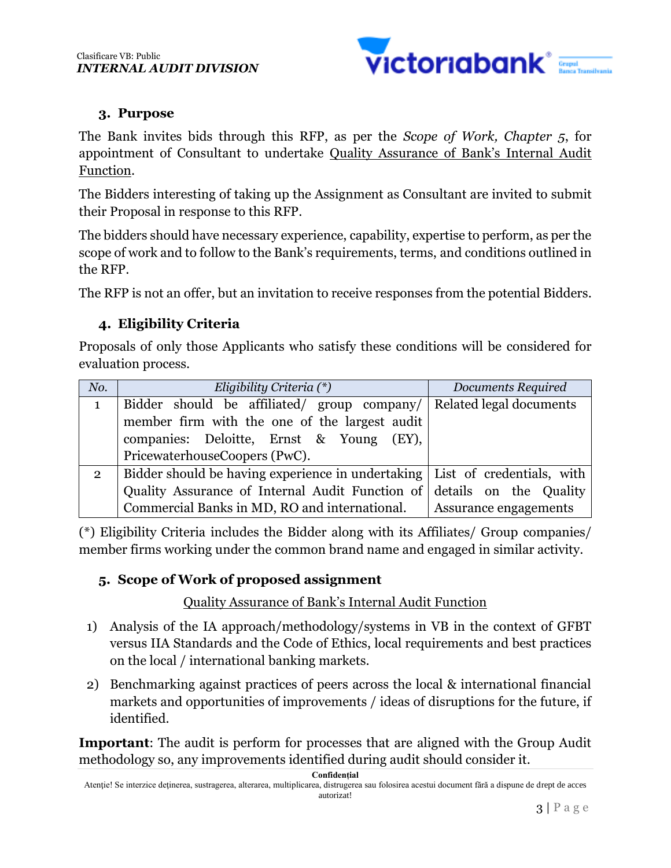

# **3. Purpose**

The Bank invites bids through this RFP, as per the *Scope of Work, Chapter 5*, for appointment of Consultant to undertake Quality Assurance of Bank's Internal Audit Function.

The Bidders interesting of taking up the Assignment as Consultant are invited to submit their Proposal in response to this RFP.

The bidders should have necessary experience, capability, expertise to perform, as per the scope of work and to follow to the Bank's requirements, terms, and conditions outlined in the RFP.

The RFP is not an offer, but an invitation to receive responses from the potential Bidders.

# **4. Eligibility Criteria**

Proposals of only those Applicants who satisfy these conditions will be considered for evaluation process.

| No.            | Eligibility Criteria $(*)$                                                  | Documents Required      |  |
|----------------|-----------------------------------------------------------------------------|-------------------------|--|
|                | Bidder should be affiliated/ group company/                                 | Related legal documents |  |
|                | member firm with the one of the largest audit                               |                         |  |
|                | companies: Deloitte, Ernst & Young (EY),                                    |                         |  |
|                | PricewaterhouseCoopers (PwC).                                               |                         |  |
| $\overline{2}$ | Bidder should be having experience in undertaking List of credentials, with |                         |  |
|                | Quality Assurance of Internal Audit Function of details on the Quality      |                         |  |
|                | Commercial Banks in MD, RO and international.                               | Assurance engagements   |  |

(\*) Eligibility Criteria includes the Bidder along with its Affiliates/ Group companies/ member firms working under the common brand name and engaged in similar activity.

# **5. Scope of Work of proposed assignment**

# Quality Assurance of Bank's Internal Audit Function

- 1) Analysis of the IA approach/methodology/systems in VB in the context of GFBT versus IIA Standards and the Code of Ethics, local requirements and best practices on the local / international banking markets.
- 2) Benchmarking against practices of peers across the local & international financial markets and opportunities of improvements / ideas of disruptions for the future, if identified.

**Important**: The audit is perform for processes that are aligned with the Group Audit methodology so, any improvements identified during audit should consider it.

**Confidențial**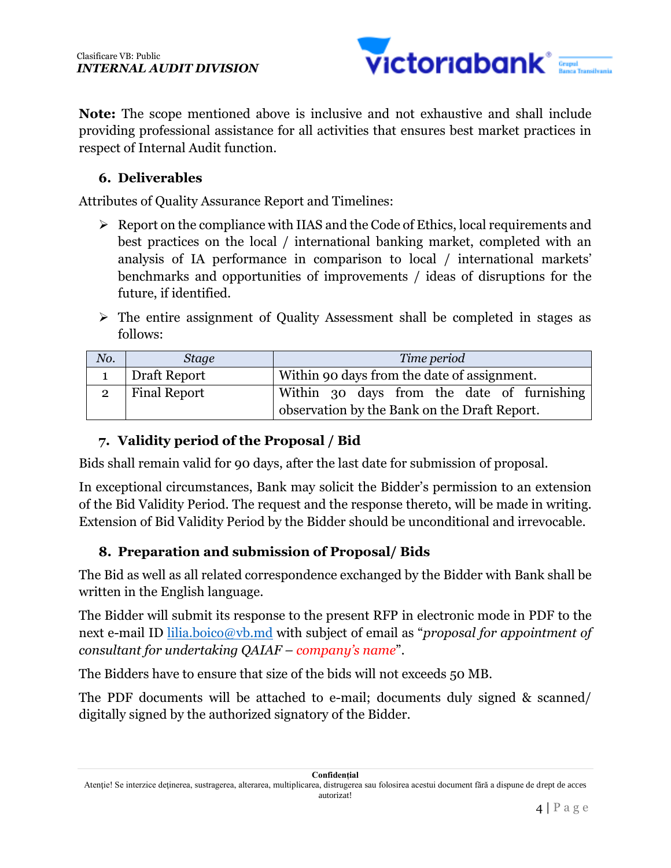

**Note:** The scope mentioned above is inclusive and not exhaustive and shall include providing professional assistance for all activities that ensures best market practices in respect of Internal Audit function.

# **6. Deliverables**

Attributes of Quality Assurance Report and Timelines:

- $\triangleright$  Report on the compliance with IIAS and the Code of Ethics, local requirements and best practices on the local / international banking market, completed with an analysis of IA performance in comparison to local / international markets' benchmarks and opportunities of improvements / ideas of disruptions for the future, if identified.
- $\triangleright$  The entire assignment of Quality Assessment shall be completed in stages as follows:

| No. | <b>Stage</b>        | Time period                                  |  |  |
|-----|---------------------|----------------------------------------------|--|--|
|     | Draft Report        | Within 90 days from the date of assignment.  |  |  |
|     | <b>Final Report</b> | Within 30 days from the date of furnishing   |  |  |
|     |                     | observation by the Bank on the Draft Report. |  |  |

# **7. Validity period of the Proposal / Bid**

Bids shall remain valid for 90 days, after the last date for submission of proposal.

In exceptional circumstances, Bank may solicit the Bidder's permission to an extension of the Bid Validity Period. The request and the response thereto, will be made in writing. Extension of Bid Validity Period by the Bidder should be unconditional and irrevocable.

# **8. Preparation and submission of Proposal/ Bids**

The Bid as well as all related correspondence exchanged by the Bidder with Bank shall be written in the English language.

The Bidder will submit its response to the present RFP in electronic mode in PDF to the next e-mail ID lilia.boico@vb.md with subject of email as "*proposal for appointment of consultant for undertaking QAIAF – company's name*".

The Bidders have to ensure that size of the bids will not exceeds 50 MB.

The PDF documents will be attached to e-mail; documents duly signed & scanned/ digitally signed by the authorized signatory of the Bidder.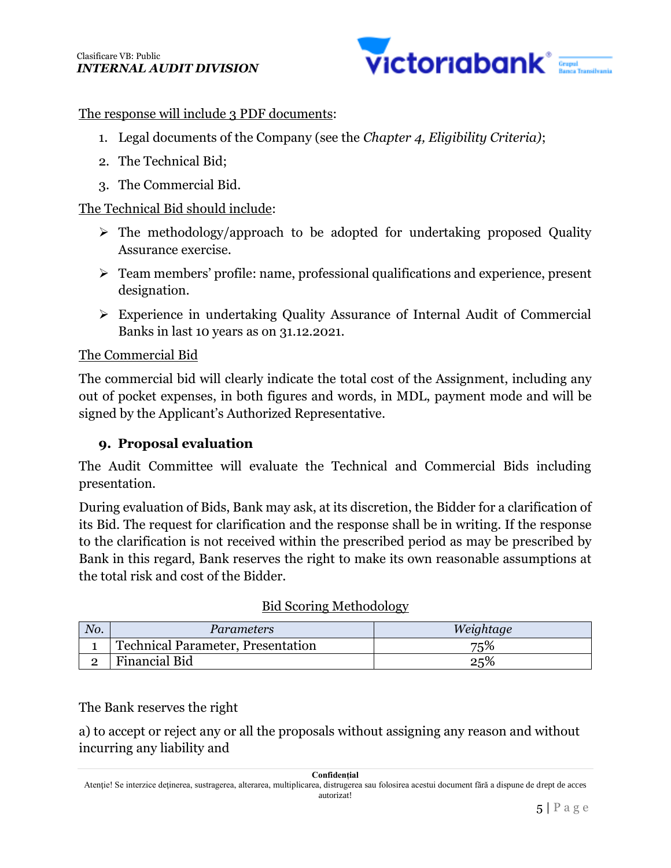

### The response will include 3 PDF documents:

- 1. Legal documents of the Company (see the *Chapter 4, Eligibility Criteria)*;
- 2. The Technical Bid;
- 3. The Commercial Bid.

# The Technical Bid should include:

- $\triangleright$  The methodology/approach to be adopted for undertaking proposed Quality Assurance exercise.
- Team members' profile: name, professional qualifications and experience, present designation.
- Experience in undertaking Quality Assurance of Internal Audit of Commercial Banks in last 10 years as on 31.12.2021.

#### The Commercial Bid

The commercial bid will clearly indicate the total cost of the Assignment, including any out of pocket expenses, in both figures and words, in MDL, payment mode and will be signed by the Applicant's Authorized Representative.

# **9. Proposal evaluation**

The Audit Committee will evaluate the Technical and Commercial Bids including presentation.

During evaluation of Bids, Bank may ask, at its discretion, the Bidder for a clarification of its Bid. The request for clarification and the response shall be in writing. If the response to the clarification is not received within the prescribed period as may be prescribed by Bank in this regard, Bank reserves the right to make its own reasonable assumptions at the total risk and cost of the Bidder.

#### Bid Scoring Methodology

| No. | Parameters                               | Weightage |
|-----|------------------------------------------|-----------|
|     | <b>Technical Parameter, Presentation</b> | 75%       |
| ←   | Financial Bid                            | 25%       |

The Bank reserves the right

a) to accept or reject any or all the proposals without assigning any reason and without incurring any liability and

#### **Confidențial**

Atenţie! Se interzice deţinerea, sustragerea, alterarea, multiplicarea, distrugerea sau folosirea acestui document fără a dispune de drept de acces autorizat!